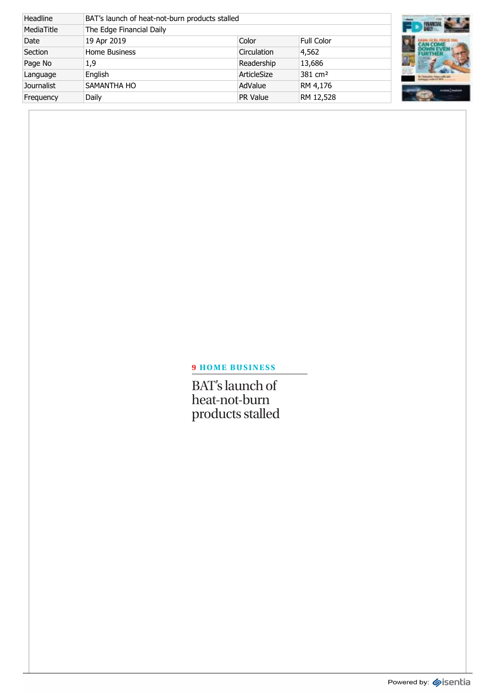| Headline          | BAT's launch of heat-not-burn products stalled |             |                     |  |
|-------------------|------------------------------------------------|-------------|---------------------|--|
| MediaTitle        | The Edge Financial Daily                       |             |                     |  |
| Date              | 19 Apr 2019                                    | Color       | <b>Full Color</b>   |  |
| Section           | <b>Home Business</b>                           | Circulation | 4,562               |  |
| Page No           | 1,9                                            | Readership  | 13,686              |  |
| Language          | Enalish                                        | ArticleSize | 381 cm <sup>2</sup> |  |
| <b>Journalist</b> | <b>SAMANTHA HO</b>                             | AdValue     | RM 4,176            |  |
| Frequency         | Daily                                          | PR Value    | RM 12,528           |  |



## **9 HOME BUSINESS**

BAT's launch of heat-not-burn products stalled